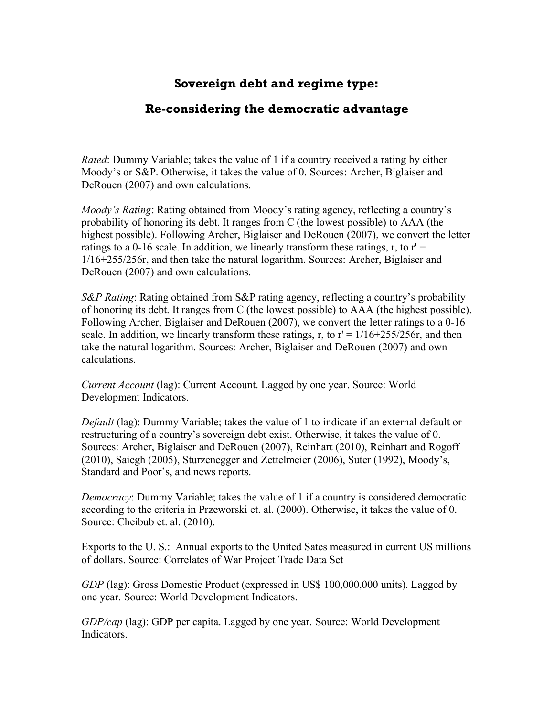## **Sovereign debt and regime type:**

## **Re-considering the democratic advantage**

*Rated*: Dummy Variable; takes the value of 1 if a country received a rating by either Moody's or S&P. Otherwise, it takes the value of 0. Sources: Archer, Biglaiser and DeRouen (2007) and own calculations.

*Moody's Rating*: Rating obtained from Moody's rating agency, reflecting a country's probability of honoring its debt. It ranges from C (the lowest possible) to AAA (the highest possible). Following Archer, Biglaiser and DeRouen (2007), we convert the letter ratings to a 0-16 scale. In addition, we linearly transform these ratings, r, to  $r' =$ 1/16+255/256r, and then take the natural logarithm. Sources: Archer, Biglaiser and DeRouen (2007) and own calculations.

*S&P Rating*: Rating obtained from S&P rating agency, reflecting a country's probability of honoring its debt. It ranges from C (the lowest possible) to AAA (the highest possible). Following Archer, Biglaiser and DeRouen (2007), we convert the letter ratings to a 0-16 scale. In addition, we linearly transform these ratings, r, to  $r' = 1/16+255/256r$ , and then take the natural logarithm. Sources: Archer, Biglaiser and DeRouen (2007) and own calculations.

*Current Account* (lag): Current Account. Lagged by one year. Source: World Development Indicators.

*Default* (lag): Dummy Variable; takes the value of 1 to indicate if an external default or restructuring of a country's sovereign debt exist. Otherwise, it takes the value of 0. Sources: Archer, Biglaiser and DeRouen (2007), Reinhart (2010), Reinhart and Rogoff (2010), Saiegh (2005), Sturzenegger and Zettelmeier (2006), Suter (1992), Moody's, Standard and Poor's, and news reports.

*Democracy*: Dummy Variable; takes the value of 1 if a country is considered democratic according to the criteria in Przeworski et. al. (2000). Otherwise, it takes the value of 0. Source: Cheibub et. al. (2010).

Exports to the U. S.: Annual exports to the United Sates measured in current US millions of dollars. Source: Correlates of War Project Trade Data Set

*GDP* (lag): Gross Domestic Product (expressed in US\$ 100,000,000 units). Lagged by one year. Source: World Development Indicators.

*GDP/cap* (lag): GDP per capita. Lagged by one year. Source: World Development Indicators.